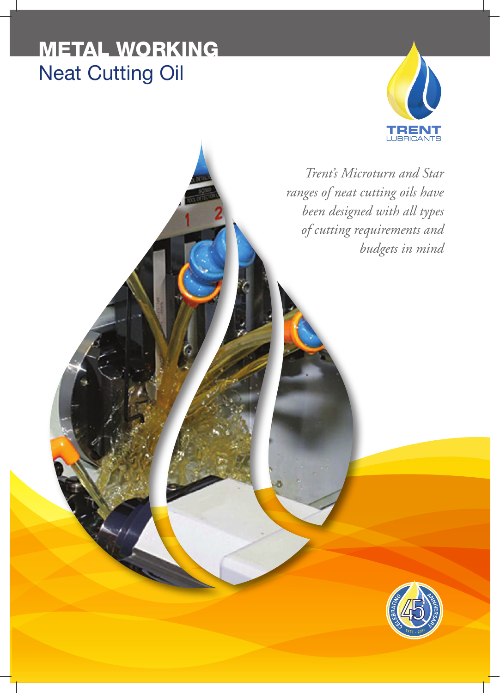# METAL WORKING Neat Cutting Oil



*Trent's Microturn and Star ranges of neat cutting oils have been designed with all types of cutting requirements and budgets in mind*